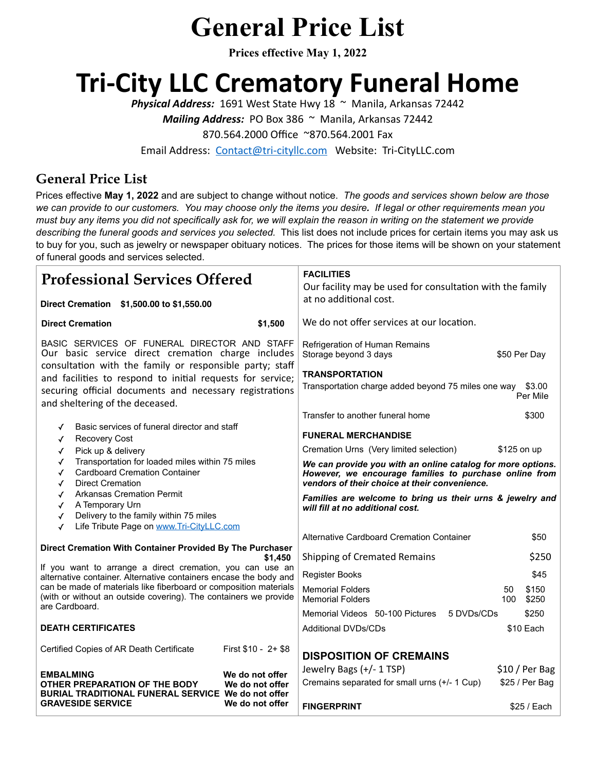# **General Price List**

**Prices effective May 1, 2022**

# **Tri-City LLC Crematory Funeral Home**

*Physical Address:* 1691 West State Hwy 18 ~ Manila, Arkansas 72442

*Mailing Address:* PO Box 386 ~ Manila, Arkansas 72442

870.564.2000 Office ~870.564.2001 Fax

Email Address: [Contact@tri-cityllc.com](mailto:Contact@tri-cityllc.com) Website: Tri-CityLLC.com

#### **General Price List**

Prices effective **May 1, 2022** and are subject to change without notice. *The goods and services shown below are those we can provide to our customers. You may choose only the items you desire. If legal or other requirements mean you must buy any items you did not specifically ask for, we will explain the reason in writing on the statement we provide describing the funeral goods and services you selected.* This list does not include prices for certain items you may ask us to buy for you, such as jewelry or newspaper obituary notices. The prices for those items will be shown on your statement of funeral goods and services selected.

| <b>Professional Services Offered</b>                                                                                                                                                                                                                                                                                                                                  |                                                       | <b>FACILITIES</b><br>Our facility may be used for consultation with the family                                                                                                |             |                |
|-----------------------------------------------------------------------------------------------------------------------------------------------------------------------------------------------------------------------------------------------------------------------------------------------------------------------------------------------------------------------|-------------------------------------------------------|-------------------------------------------------------------------------------------------------------------------------------------------------------------------------------|-------------|----------------|
| Direct Cremation \$1,500.00 to \$1,550.00                                                                                                                                                                                                                                                                                                                             |                                                       | at no additional cost.                                                                                                                                                        |             |                |
| <b>Direct Cremation</b><br>\$1,500                                                                                                                                                                                                                                                                                                                                    |                                                       | We do not offer services at our location.                                                                                                                                     |             |                |
| BASIC SERVICES OF FUNERAL DIRECTOR AND STAFF<br>Our basic service direct cremation charge includes<br>consultation with the family or responsible party; staff<br>and facilities to respond to initial requests for service;<br>securing official documents and necessary registrations<br>and sheltering of the deceased.                                            |                                                       | Refrigeration of Human Remains<br>Storage beyond 3 days<br>\$50 Per Day<br><b>TRANSPORTATION</b><br>Transportation charge added beyond 75 miles one way<br>\$3.00<br>Per Mile |             |                |
| Basic services of funeral director and staff                                                                                                                                                                                                                                                                                                                          |                                                       | Transfer to another funeral home                                                                                                                                              |             | \$300          |
| <b>Recovery Cost</b><br>✓<br>Pick up & delivery<br>✓<br>Transportation for loaded miles within 75 miles<br>✓<br><b>Cardboard Cremation Container</b><br>✓<br><b>Direct Cremation</b><br>✓<br><b>Arkansas Cremation Permit</b><br>✓<br>A Temporary Urn<br>✓<br>Delivery to the family within 75 miles<br>√<br>Life Tribute Page on www.Tri-CityLLC.com<br>$\checkmark$ |                                                       | <b>FUNERAL MERCHANDISE</b>                                                                                                                                                    |             |                |
|                                                                                                                                                                                                                                                                                                                                                                       |                                                       | Cremation Urns (Very limited selection)                                                                                                                                       | \$125 on up |                |
|                                                                                                                                                                                                                                                                                                                                                                       |                                                       | We can provide you with an online catalog for more options.<br>However, we encourage families to purchase online from<br>vendors of their choice at their convenience.        |             |                |
|                                                                                                                                                                                                                                                                                                                                                                       |                                                       | Families are welcome to bring us their urns & jewelry and<br>will fill at no additional cost.                                                                                 |             |                |
|                                                                                                                                                                                                                                                                                                                                                                       |                                                       | Alternative Cardboard Cremation Container                                                                                                                                     |             | \$50           |
| Direct Cremation With Container Provided By The Purchaser<br>\$1.450<br>If you want to arrange a direct cremation, you can use an<br>alternative container. Alternative containers encase the body and<br>can be made of materials like fiberboard or composition materials<br>(with or without an outside covering). The containers we provide<br>are Cardboard.     |                                                       | Shipping of Cremated Remains                                                                                                                                                  | \$250       |                |
|                                                                                                                                                                                                                                                                                                                                                                       |                                                       | <b>Register Books</b>                                                                                                                                                         |             | \$45           |
|                                                                                                                                                                                                                                                                                                                                                                       |                                                       | <b>Memorial Folders</b><br><b>Memorial Folders</b>                                                                                                                            | 50<br>100   | \$150<br>\$250 |
|                                                                                                                                                                                                                                                                                                                                                                       |                                                       | Memorial Videos 50-100 Pictures<br>5 DVDs/CDs                                                                                                                                 |             | \$250          |
| <b>DEATH CERTIFICATES</b>                                                                                                                                                                                                                                                                                                                                             |                                                       | <b>Additional DVDs/CDs</b>                                                                                                                                                    |             | \$10 Each      |
| Certified Copies of AR Death Certificate                                                                                                                                                                                                                                                                                                                              | First \$10 - 2+ \$8                                   | <b>DISPOSITION OF CREMAINS</b>                                                                                                                                                |             |                |
| <b>EMBALMING</b>                                                                                                                                                                                                                                                                                                                                                      | We do not offer<br>We do not offer<br>We do not offer | Jewelry Bags (+/- 1 TSP)                                                                                                                                                      |             | \$10 / Per Bag |
| OTHER PREPARATION OF THE BODY<br>BURIAL TRADITIONAL FUNERAL SERVICE We do not offer                                                                                                                                                                                                                                                                                   |                                                       | Cremains separated for small urns (+/- 1 Cup)                                                                                                                                 |             | \$25 / Per Bag |
| <b>GRAVESIDE SERVICE</b>                                                                                                                                                                                                                                                                                                                                              |                                                       | <b>FINGERPRINT</b>                                                                                                                                                            |             | $$25 /$ Each   |